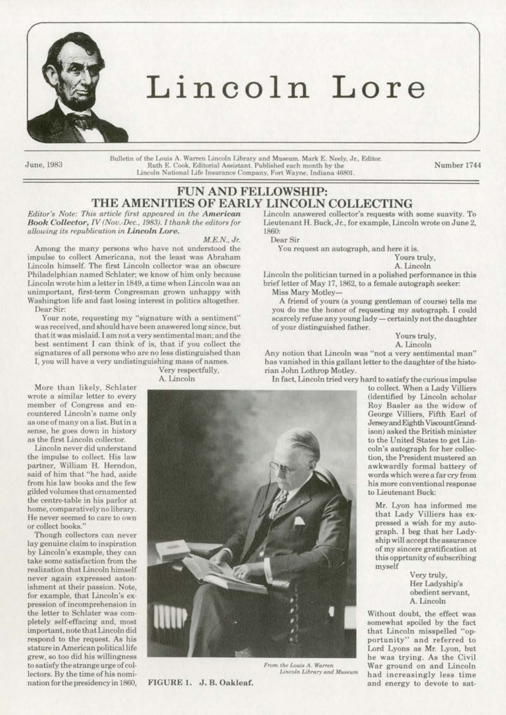

# Lincoln Lore

June, 1983

Bulletin of the Louis A. Warren Lincoln Library and Museum. Mark E. Neely, Jr., Editor.<br>Ruth E. Cook, Editorial Assistant. Published each month by the Lincoln National Life Insurance Company, Fort Wayne, Indiana 46801.

Number 1744

# **FUN AND FELLOWSHIP:** THE AMENITIES OF EARLY LINCOLN COLLECTING

Editor's Note: This article first appeared in the American Book Collector, IV (Nov.-Dec., 1983). I thank the editors for allowing its republication in Lincoln Lore.

 $M.E.N., Jr.$ 

Among the many persons who have not understood the impulse to collect Americana, not the least was Abraham Lincoln himself. The first Lincoln collector was an obscure Philadelphian named Schlater; we know of him only because Lincoln wrote him a letter in 1849, a time when Lincoln was an unimportant, first-term Congresman grown unhappy with Washington life and fast losing interest in politics altogether. Dear Sir:

Your note, requesting my "signature with a sentiment" was received, and should have been answered long since, but that it was mislaid. I am not a very sentimental man; and the best sentiment I can think of is, that if you collect the signatures of all persons who are no less distinguished than I, you will have a very undistinguishing mass of names.

Very respectfully.

A. Lincoln

More than likely, Schlater wrote a similar letter to every member of Congress and encountered Lincoln's name only as one of many on a list. But in a sense, he goes down in history as the first Lincoln collector.

Lincoln never did understand the impulse to collect. His law partner, William H. Herndon. said of him that "he had, aside from his law books and the few gilded volumes that ornamented the centre-table in his parlor at home, comparatively no library. He never seemed to care to own or collect books."

Though collectors can never lay genuine claim to inspiration by Lincoln's example, they can take some satisfaction from the realization that Lincoln himself never again expressed astonishment at their passion. Note, for example, that Lincoln's expression of incomprehension in the letter to Schlater was completely self-effacing and, most important, note that Lincoln did respond to the request. As his stature in American political life grew, so too did his willingness to satisfy the strange urge of collectors. By the time of his nomination for the presidency in 1860,



From the Louis A. Warren Lincoln Library and Museum

FIGURE 1. J. B. Oakleaf.

Lincoln answered collector's requests with some suavity. To Lieutenant H. Buck, Jr., for example, Lincoln wrote on June 2, 1860:

Dear Sir

You request an autograph, and here it is.

Yours truly, A. Lincoln

Lincoln the politician turned in a polished performance in this brief letter of May 17, 1862, to a female autograph seeker: Miss Mary Motley-

A friend of yours (a young gentleman of course) tells me you do me the honor of requesting my autograph. I could scarcely refuse any young lady - certainly not the daughter of your distinguished father.

#### Yours truly, A. Lincoln

Any notion that Lincoln was "not a very sentimental man" has vanished in this gallant letter to the daughter of the historian John Lothrop Motley.

In fact, Lincoln tried very hard to satisfy the curious impulse

to collect. When a Lady Villiers (identified by Lincoln scholar Roy Basler as the widow of George Villiers, Fifth Earl of Jersey and Eighth Viscount Grandison) asked the British minister to the United States to get Lincoln's autograph for her collection, the President mustered an awkwardly formal battery of words which were a far cry from his more conventional response to Lieutenant Buck:

Mr. Lyon has informed me that Lady Villiers has expressed a wish for my autograph. I beg that her Ladyship will accept the assurance of my sincere gratification at this opprtunity of subscribing myself

> Very truly, Her Ladyship's obedient servant, A. Lincoln

Without doubt, the effect was somewhat spoiled by the fact that Lincoln misspelled "opportunity" and referred to Lord Lyons as Mr. Lyon, but he was trying. As the Civil War ground on and Lincoln had increasingly less time and energy to devote to sat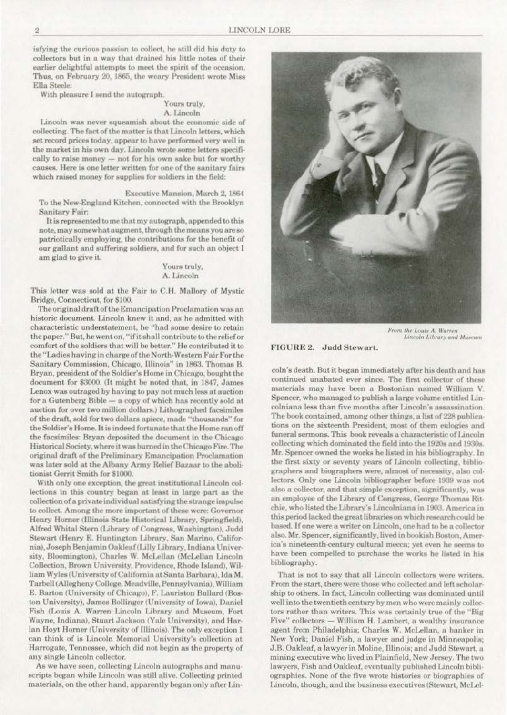isfying the curious passion to collect, he still did his duty to collectors but in a way that drained his little notes of their earlier delightful attempts to meet the spirit of the occasion. Thus, on February 20, 1865, the weary President wrote Miss Ella Steele:

With pleasure I send the autograph.

#### Yours truly, A. Lincoln

Lincoln was never squeamish about the economic side of collecting. The fact of the matter is that Lincoln letters, which set record prices today, appear to have performed very well in the market in his own day. Lincoln wrote some letters specifically to raise money - not for his own sake but for worthy causes. Here is one letter written for one of the sanitary fairs which raised money for supplies for soldiers in the field:

Executive Mansion, March 2, 1864

To the New-England Kitchen, connected with the Brooklyn Sanitary Fair:

It is represented to me that my autograph, appended to this note, may somewhat augment, through the means you are so patriotically employing, the contributions for the benefit of our gallant and suffering soldiers, and for such an object I am glad to give it.

### Yours truly, A. Lincoln

This letter was sold at the Fair to C.H. Mallory of Mystic Bridge, Connecticut, for \$100.

The original draft of the Emancipation Proclamation was an historic document. Lincoln knew it and, as he admitted with characteristic understatement, he "had some desire to retain the paper." But, he went on, "if it shall contribute to the relief or comfort of the soldiers that will be better." He contributed it to the "Ladies having in charge of the North-Western Fair For the Sanitary Commission, Chicago, Illinois" in 1863. Thomas B. Bryan, president of the Soldier's Home in Chicago, bought the document for \$3000. (It might be noted that, in 1847, James Lenox was outraged by having to pay not much less at auction for a Gutenberg Bible - a copy of which has recently sold at auction for over two million dollars.) Lithographed facsimiles of the draft, sold for two dollars apiece, made "thousands" for the Soldier's Home. It is indeed fortunate that the Home ran off the facsimiles: Bryan deposited the document in the Chicago Historical Society, where it was burned in the Chicago Fire. The original draft of the Preliminary Emancipation Proclamation was later sold at the Albany Army Relief Bazaar to the abolitionist Gerrit Smith for \$1000.

With only one exception, the great institutional Lincoln collections in this country began at least in large part as the collection of a private individual satisfying the strange impulse to collect. Among the more important of these were: Governor Henry Horner (Illinois State Historical Library, Springfield), Alfred Whital Stern (Library of Congress, Washington), Judd Stewart (Henry E. Huntington Library, San Marino, California), Joseph Benjamin Oakleaf (Lilly Library, Indiana University, Bloomington), Charles W. McLellan (McLellan Lincoln Collection, Brown University, Providence, Rhode Island), William Wyles (University of California at Santa Barbara), Ida M. Tarbell (Allegheny College, Meadville, Pennsylvania), William E. Barton (University of Chicago), F. Lauriston Bullard (Boston University), James Bollinger (University of Iowa), Daniel Fish (Louis A. Warren Lincoln Library and Museum, Fort Wayne, Indiana), Stuart Jackson (Yale University), and Harlan Hoyt Horner (University of Illinois). The only exception I can think of is Lincoln Memorial University's collection at Harrogate, Tennessee, which did not begin as the property of any single Lincoln collector.

As we have seen, collecting Lincoln autographs and manuscripts began while Lincoln was still alive. Collecting printed materials, on the other hand, apparently began only after Lin-



From the Louis A. Warren<br>Lincoln Library and Museum

## FIGURE 2. Judd Stewart.

coln's death. But it began immediately after his death and has continued unabated ever since. The first collector of these materials may have been a Bostonian named William V. Spencer, who managed to publish a large volume entitled Lincolniana less than five months after Lincoln's assassination. The book contained, among other things, a list of 228 publications on the sixteenth President, most of them eulogies and funeral sermons. This book reveals a characteristic of Lincoln collecting which dominated the field into the 1920s and 1930s. Mr. Spencer owned the works he listed in his bibliography. In the first sixty or seventy years of Lincoln collecting, bibliographers and biographers were, almost of necessity, also collectors. Only one Lincoln bibliographer before 1939 was not also a collector, and that simple exception, significantly, was an employee of the Library of Congress, George Thomas Ritchie, who listed the Library's Lincolniana in 1903. America in this period lacked the great libraries on which research could be based. If one were a writer on Lincoln, one had to be a collector also. Mr. Spencer, significantly, lived in bookish Boston, America's nineteenth-century cultural mecca; yet even he seems to have been compelled to purchase the works he listed in his bibliography.

That is not to say that all Lincoln collectors were writers. From the start, there were those who collected and left scholarship to others. In fact, Lincoln collecting was dominated until well into the twentieth century by men who were mainly collectors rather than writers. This was certainly true of the "Big" Five" collectors - William H. Lambert, a wealthy insurance agent from Philadelphia; Charles W. McLellan, a banker in New York; Daniel Fish, a lawyer and judge in Minneapolis; J.B. Oakleaf, a lawyer in Moline, Illinois; and Judd Stewart, a mining executive who lived in Plainfield, New Jersey. The two lawyers, Fish and Oakleaf, eventually published Lincoln bibliographies. None of the five wrote histories or biographies of Lincoln, though, and the business executives (Stewart, McLel-

 $\overline{2}$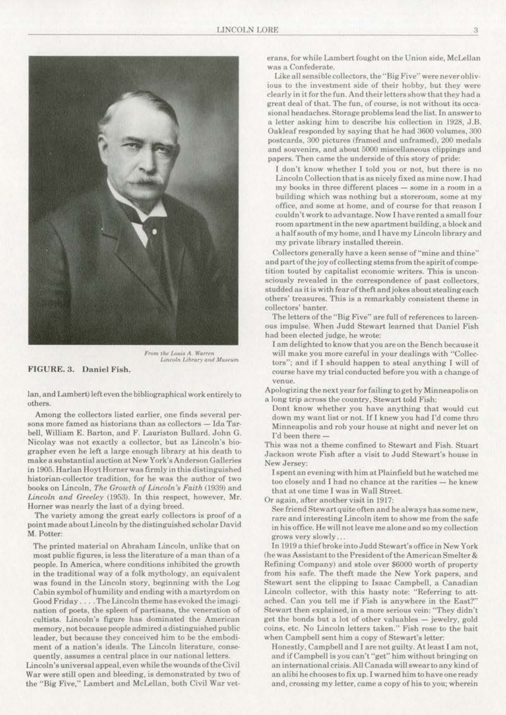

From the Louis A. Warren Lincoln Library and Museum

FIGURE. 3. Daniel Fish.

lan, and Lambert) left even the bibliographical work entirely to others.

Among the collectors listed earlier, one finds several persons more famed as historians than as collectors - Ida Tarbell, William E. Barton, and F. Lauriston Bullard. John G. Nicolay was not exactly a collector, but as Lincoln's biographer even he left a large enough library at his death to make a substantial auction at New York's Anderson Galleries in 1905. Harlan Hoyt Horner was firmly in this distinguished historian-collector tradition, for he was the author of two books on Lincoln, The Growth of Lincoln's Faith (1939) and Lincoln and Greeley (1953). In this respect, however, Mr. Horner was nearly the last of a dying breed.

The variety among the great early collectors is proof of a point made about Lincoln by the distinguished scholar David M. Potter:

The printed material on Abraham Lincoln, unlike that on most public figures, is less the literature of a man than of a people. In America, where conditions inhibited the growth in the traditional way of a folk mythology, an equivalent was found in the Lincoln story, beginning with the Log Cabin symbol of humility and ending with a martyrdom on Good Friday....The Lincoln theme has evoked the imagination of poets, the spleen of partisans, the veneration of cultists. Lincoln's figure has dominated the American memory, not because people admired a distinguished public leader, but because they conceived him to be the embodiment of a nation's ideals. The Lincoln literature, consequently, assumes a central place in our national letters.

Lincoln's universal appeal, even while the wounds of the Civil War were still open and bleeding, is demonstrated by two of the "Big Five," Lambert and McLellan, both Civil War veterans, for while Lambert fought on the Union side, McLellan was a Confederate.

Like all sensible collectors, the "Big Five" were never oblivious to the investment side of their hobby, but they were clearly in it for the fun. And their letters show that they had a great deal of that. The fun, of course, is not without its occasional headaches. Storage problems lead the list. In answer to a letter asking him to describe his collection in 1928, J.B. Oakleaf responded by saying that he had 3600 volumes, 300 postcards, 300 pictures (framed and unframed), 200 medals and souvenirs, and about 5000 miscellaneous clippings and papers. Then came the underside of this story of pride:

I don't know whether I told you or not, but there is no Lincoln Collection that is as nicely fixed as mine now. I had my books in three different places - some in a room in a building which was nothing but a storeroom, some at my office, and some at home, and of course for that reason I couldn't work to advantage. Now I have rented a small four room apartment in the new apartment building, a block and a half south of my home, and I have my Lincoln library and my private library installed therein.

Collectors generally have a keen sense of "mine and thine" and part of the joy of collecting stems from the spirit of competition touted by capitalist economic writers. This is unconsciously revealed in the correspondence of past collectors. studded as it is with fear of theft and jokes about stealing each others' treasures. This is a remarkably consistent theme in collectors' banter.

The letters of the "Big Five" are full of references to larcenous impulse. When Judd Stewart learned that Daniel Fish had been elected judge, he wrote:

I am delighted to know that you are on the Bench because it will make you more careful in your dealings with "Collectors"; and if I should happen to steal anything I will of course have my trial conducted before you with a change of venue.

Apologizing the next year for failing to get by Minneapolis on a long trip across the country, Stewart told Fish:

Dont know whether you have anything that would cut down my want list or not. If I knew you had I'd come thro Minneapolis and rob your house at night and never let on I'd been there -

This was not a theme confined to Stewart and Fish. Stuart Jackson wrote Fish after a visit to Judd Stewart's house in New Jersey:

I spent an evening with him at Plainfield but he watched me too closely and I had no chance at the rarities - he knew that at one time I was in Wall Street.

Or again, after another visit in 1917:

See friend Stewart quite often and he always has some new, rare and interesting Lincoln item to show me from the safe in his office. He will not leave me alone and so my collection grows very slowly...

In 1919 a thief broke into Judd Stewart's office in New York (he was Assistant to the President of the American Smelter & Refining Company) and stole over \$6000 worth of property from his safe. The theft made the New York papers, and Stewart sent the clipping to Isaac Campbell, a Canadian Lincoln collector, with this hasty note: "Referring to attached. Can you tell me if Fish is anywhere in the East?" Stewart then explained, in a more serious vein: "They didn't get the bonds but a lot of other valuables - jewelry, gold coins, etc. No Lincoln letters taken." Fish rose to the bait when Campbell sent him a copy of Stewart's letter:

Honestly, Campbell and I are not guilty. At least I am not, and if Campbell is you can't "get" him without bringing on an international crisis. All Canada will swear to any kind of an alibi he chooses to fix up. I warned him to have one ready and, crossing my letter, came a copy of his to you; wherein